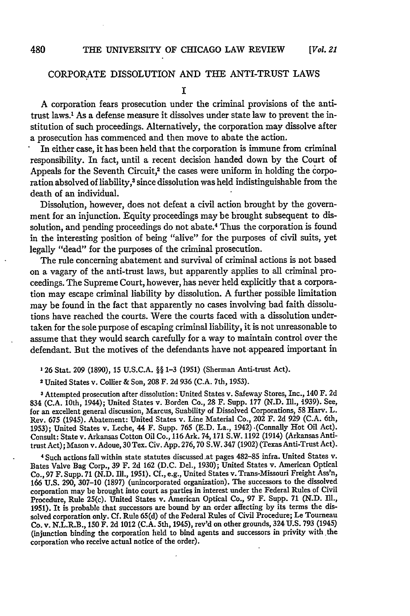# CORPORATE DISSOLUTION **AND THE ANTI-TRUST** LAWS

## **I**

**A** corporation fears prosecution under the criminal provisions of the antitrust laws.1 As a defense measure it dissolves under state law to prevent the institution of such proceedings. Alternatively, the corporation may dissolve after a prosecution has commenced and then move to abate the action.

In either case, it has been held that the corporation is immune from criminal responsibility. In fact, until a recent decision banded down **by** the Court of Appeals for the Seventh Circuit,<sup>2</sup> the cases were uniform in holding the corporation absolved of liability,<sup>3</sup> since dissolution was held indistinguishable from the death of an individual.

Dissolution, however, does not defeat a civil action brought **by** the **govern**ment for an injunction. Equity proceedings may be brought subsequent to dissolution, and pending proceedings do not abate.<sup>4</sup> Thus the corporation is found in the interesting position of being "alive" for the purposes of civil suits, yet legally "dead" for the purposes of the criminal prosecution.

The rule concerning abatement and survival of criminal actions is not based on a vagary of the anti-trust laws, but apparently applies to all criminal proceedings. The Supreme Court, however, has never held explicitly that a corporation may escape criminal liability **by** dissolution. **A** further possible limitation may be found in the fact that apparently no cases involving bad faith dissolutions have reached the courts. Were the courts faced with a dissolution undertaken for the sole purpose of escaping criminal liability, it is not unreasonable to assume that they would search carefully for a way to maintain control over the defendant. But the motives of the defendants have not appeared important in

**'26** Stat. **209 (1890), 15 U.S.C.A. §§ 1-3 (1951)** (Sherman Anti-trust Act).

**2** United States v. **Collier &** Son, **208** F. **2d 936 (C.A.** 7th, **1953).**

**<sup>3</sup>Attempted** prosecution after dissolution: United States v. Safeway Stores, Inc., 140 F. **2d** 834 **(C.A.** 10th, 1944); United States v. Borden Co., **28** F. Supp. **177 (N.D. Ill., 1939).** See, for an excellent general discussion, Marcus, Suability of Dissolved Corporations, **58** Harv. L. Rev. **675** (1945). Abatement: United States v. Line Material Co., 202 F. **2d 929 (C.A.** 6th, **1953);** United States v. Leche, 44 F. Supp. **765 (E.D.** La., 1942) .(Connally Hot Oil Act). Consult: State v. Arkansas Cotton Oil Co., **116** Ark. **74,171** S.W. **1192** (1914) (Arkansas Antitrust Act); Mason v. Adoue, **30** Tex. Civ. **App. 276, 70** S.W. 347 **(1902)** (Texas Anti-Trust Act).

**4** Such actions fall within state statutes discussed.at pages **482-85** infra. United States v. Bates Valve Bag Corp., **39** F. **2d 162 (D.C.** Del., **1930);** United States **v.** American Optical Co., **97** F. Supp. **71 (N.D. Ill., 1951). Cf.,** e.g., United States v. Trans-Missouri Freight Ass'n, **166 U.S. 290, 307-10 (1897)** (unincorporated organization). The successors to the dissolved corporation may be brought into court as parties in interest under the Federal Rules of Civil Procedure, Rule 25(c). United States v. American Optical Co., **97** F. Supp. **71 (N.D.** III., **1951).** It is probable that successors are bound **by** an order affecting **by** its terms the dissolved corporation only. **Cf.** Rule **65(d)** of the Federal Rules of Civil Procedure; Le Tourneau Co. v. N.L.R.B., **150** F. **2d** 1012 **(C.A.** 5th, 1945), rev'd on other grounds, 324 **U.S. 793** (1945) (injunction binding the corporation held to bind agents and successors in privity with the corporation who receive actual notice of the order).

480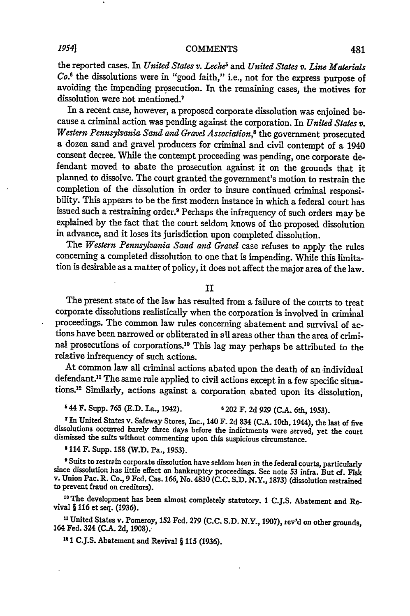## **IP541 COMMENTS**

the reported cases. In *United States v. Leche<sup>s</sup>* and *United States v. Line Materials Co.8* the dissolutions were in "good faith," i.e., not for the express purpose of avoiding the impending prosecution. In the remaining cases, the motives for dissolution were not mentioned.<sup>7</sup>

In a recent case, however, a proposed corporate dissolution was enjoined because a criminal action was pending against the corporation. In *United States v. Western Pennsylvania Sand and Gravel Association,8* the government prosecuted a dozen sand and gravel producers for criminal and civil contempt of a 1940 consent decree. While the contempt proceeding was pending, one corporate defendant moved to abate the prosecution against it on the grounds that it planned to dissolve. The court granted the government's motion to restrain the completion of the dissolution in order to insure continued criminal responsibility. This appears to be the first modern instance in which a federal court has issued such a restraining order.9 Perhaps the infrequency of such orders may be explained by the fact that the court seldom knows of the proposed dissolution in advance, and it loses its jurisdiction upon completed dissolution.

The *Western Pennsylvania Sand and Gravel* case refuses to apply the rules concerning a completed dissolution to one that is impending. While this limitation is desirable as a matter of policy, it does not affect the major area of the law.

II

The present state of the law has resulted from a failure of the courts to treat corporate dissolutions realistically when the corporation is involved in criminal proceedings. The common law rules concerning abatement and survival of actions have been narrowed or obliterated in all areas other than the area of criminal prosecutions of corporations. 10 This lag may perhaps be attributed to the relative infrequency of such actions.

At common law all criminal actions abated upon the death of an individual defendant.<sup>11</sup> The same rule applied to civil actions except in a few specific situations.<sup>12</sup> Similarly, actions against a corporation abated upon its dissolution,

**s** 44 F. Supp. 765 (E.D. La., 1942). **6** 202 F. 2d 929 (C.A. 6th, 1953).

**<sup>7</sup>**In United States v. Safeway Stores, Inc., 140 F. 2d 834 (C.A. 10th, 1944), the last of five dissolutions occurred barely three days before the indictments were served, yet the court dismissed the suits without commenting upon this suspicious circumstance.

**8** 114 F. Supp. **158** (W.D. Pa., **1953).**

Suits to restrein corporate dissolution have seldom been in the federal courts, particularly since dissolution has little effect on bankruptcy proceedings. See note 53 infra. But cf. Fisk v. Union Pac. R. Co., 9 Fed. Cas. to prevent fraud on creditors).

**10 The** development has been almost completely statutory. 1 C.J.S. Abatement and Revival § **116** et seq. **(1936).**

**<sup>11</sup>**United States v. Pomeroy, **152** Fed. **279 (C.C. S.D.** N.Y., **1907),** rev'd on other grounds, 164 Fed. 324 **(C.A. 2d, 1908).,**

"1 **C.J.S.** Abatement and Revival § **115 (1936).**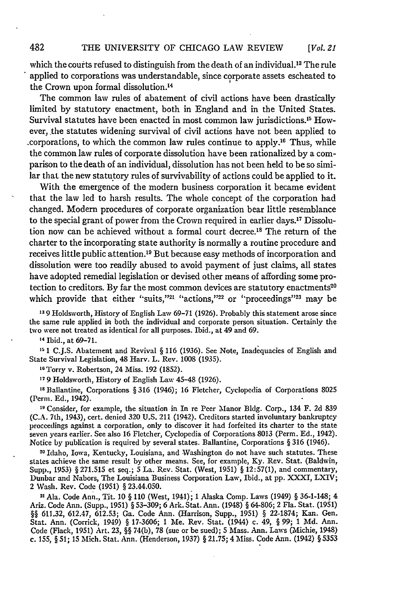*[Vol. 21*

which the courts refused to distinguish from the death of an individual.<sup>13</sup> The rule applied to corporations was understandable, since corporate assets escheated to the Crown upon formal dissolution.<sup>14</sup>

The common law rules of abatement of civil actions have been drastically limited by statutory enactment, both in England and in the United States. Survival statutes have been enacted in most common law jurisdictions. 15 However, the statutes widening survival of civil actions have not been applied to .corporations, to which the common law rules continue to apply.16 Thus, while the common law rules of corporate dissolution have been rationalized by a comparison to the death of an individual, dissolution has not been held to be so similar that the new statutory rules of survivability of actions could be applied to it.

With the emergence of the modern business corporation it became evident that the law led to harsh results. The whole concept of the corporation had changed. Modem procedures of corporate organization bear little resemblance to the special grant of power from the Crown required in earlier days.17 Dissolution now can be achieved without a formal court decree.<sup>18</sup> The return of the charter to the incorporating state authority is normally a routine procedure and receives little public attention.<sup>19</sup> But because easy methods of incorporation and dissolution were too readily abused to avoid payment of just claims, all states have adopted remedial legislation or devised other means of affording some protection to creditors. By far the most common devices are statutory enactments<sup>20</sup> which provide that either "suits,"<sup>21</sup> "actions,"<sup>22</sup> or "proceedings"<sup>23</sup> may be

**13 9** Holdsworth, History of English Law 69-71 (1926). Probably this statement arose since the same rule applied in both the individual and corporate person situation. Certainly the two were not treated as identical for all purposes. Ibid., at 49 and 69.

**<sup>14</sup>**Ibid., at 69-71.

482

<sup>15</sup> 1 C.J.S. Abatement and Revival § 116 (1936). See Note, Inadequacies of English and State Survival Legislation, 48 Harv. L. Rev. 1008 (1935).

**16** Torry v. Robertson, 24 Miss. 192 (1852).

**17** 9 Holdsworth, History of English Law 45-48 (1926).

**IS** Ballantine, Corporations **§** 316 (1946); 16 Fletcher, Cyclopedia of Corporations 8025 (Perm. Ed., 1942).

**19** Consider, for example, the situation in In re Peer Manor Bldg. Corp., 134 F. 2d 839 (C.A. 7th, 1943), cert. denied 320 U.S. 211 (1942). Creditors started involuntary bankruptcy proceedings against a corporation, only to discover it had forfeited its charter to the state seven years earlier. See also 16 Fletcher, Cyclopedia of Corporations 8013 (Perm. Ed., 1942). Notice by publication is required by several states. Ballantine, Corporations **§** 316 (1946).

**20** Idaho, Iowa, Kentucky, Louisiana, and Washington do not have such statutes. These states achieve the same result by other means. See, for example, Ky. Rev. Stat. (Baldwin, Supp., 1953) § 271.515 et seq.; 5 La. Rev. Stat. (West, 1951) **§** 12:57(1), and commentary, Dunbar and Nabors, The Louisiana Business Corporation Law, Ibid., at pp. XXXI, LXIV; 2 Wash. Rev. Code (1951) **§** 23.44.050.

21 Ala. Code Ann., Tit. 10 § 110 (West, 1941); 1 Alaska Comp. Laws (1949) § 36-1-148; 4 Ariz. Code Ann. (Supp., 1951) 8 53-309; 6 Ark. Stat. Ann. (1948) **§** 64-806; 2 Fla. Stat. (1951) **§§** 611.32, 612.47, 612.53; Ga. Code Ann. (Harrison, Supp., 1951) **§** 22-1874; Kan. Gen. Stat. Ann. (Corrick, 1949) **§** 17-3606; 1 Me. Rev. Stat. (1944) c. 49, **§** 99; 1 *Md.* Ann. Code (Flack, 1951) Art. 23, **§§** 74(b), 78 (sue or be sued); 5 Mass. Ann. Laws (Michie, 1948) c. 155, **§** 51; 15 Mich. Stat. Ann. (Henderson, 1937) **§** 21.75; 4 Miss. Code Ann. (1942) **§** 5353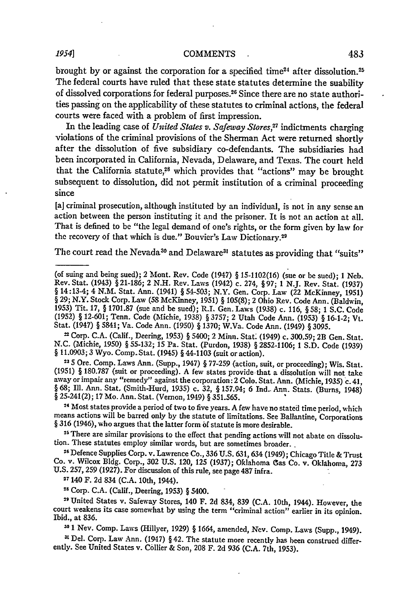brought by or against the corporation for a specified time<sup>24</sup> after dissolution.<sup>23</sup> The federal courts have ruled that these state statutes determine the suability of dissolved corporations for federal purposes.<sup>26</sup> Since there are no state authorities passing on the applicability of these statutes to criminal actions, the federal courts were faced with a problem of first impression.

In the leading case of *United States v. Safeway Stores,27* indictments charging violations of the criminal provisions of the Sherman Act were returned shortly after the dissolution of five subsidiary co-defendants. The subsidiaries had been incorporated in California, Nevada, Delaware, and Texas. The court held that the California statute, $28$  which provides that "actions" may be brought subsequent to dissolution, did not permit institution of a criminal proceeding since

[a] criminal prosecution, although instituted by an individual, is not in any sense an action between the person instituting it and the prisoner. It is not an action at all. That is defined to be "the legal demand of one's rights, or the form given by law for the recovery of that which is due." Bouvier's Law Dictionary.<sup>29</sup>

The court read the Nevada<sup>30</sup> and Delaware<sup>31</sup> statutes as providing that "suits"

21 Corp. C.A. (Calif., Deering, 1933) § 5400; 2 Minn. Stat. (1949) c. 300.59; 2B Gen. Stat. N.C. (Michie, 1950) § 55-132; 15 Pa. Stat. (Purdon, 1938) § 2852-1106; 1 S.D. Code (1939)<br>§ 11.0903; 3 Wyo. Comp. Stat. (1945) § 44-1103 (suit or action).

<sup>23</sup> 5 Ore. Comp. Laws Ann. (Supp., 1947) § 77-259 (action, suit, or proceeding); Wis. Stat. (1951) § 180.787 (suit or proceeding). A few states provide, that a dissolution will not take away or impair any "remedy" against the corporation: 2 Colo. Stat. Ann. (Michie, 1935) c. 41, § 68; Ill. Ann. Stat. (Smith-Hurd, 1935) c. 32, § 157.94; 6 Ind.. Ann. Stats. (Burns, 1948) **§** 25-241(2); 17 Mo. Ann. Stat. (Vernon, 1949) § 351.565.

**<sup>24</sup>**Most states provide a period of two to five years. A few have no stated time period, which means actions will be barred only by the statute of limitations. See Ballantine, Corporations § 316 (1946), who argues that the latter form **of** statute is more desirable.

25 There are similar provisions to the effect that pending actions will not abate on dissolution. These statutes employ similar words, but are sometimes broader.

**<sup>26</sup>**Defence Supplies Corp. v. Lawrence Co., 336 U.S. 631, 634 (1949); Chicago Title & Trust Co. v. Wilcox Bldg. Corp., **302** U.S. 120, **125** (1937); Oklahoma Gas Co. v. Oklahoma, **273** U.S. 257, **259** (1927). For discussion of this rule, see page 487 infra.

27140 F. **2d** 834 (C.A. 10th, 1944).

**<sup>28</sup>**Corp. C.A. (Calif., Deering, 1953) § 5400.

**"** United States v. Safeway Stores, 140 F. **2d** 834, **839** (C.A. 10th, 1944). However, the court weakens its case somewhat by using the term "criminal action" earlier in its opinion. Ibid., at 836.

**<sup>30</sup>**1 Nev. Comp. Laws (Hillyer, 1929) § 1664, amended, Nev. Comp. Laws (Supp., 1949).

**11** Del. Corp. Law Ann. (1947) § 42. The statute more recently has been construed differently. See United States v. Collier & Son, **208** F. 2d 936 (C.A. 7th, 1953).

<sup>(</sup>of suing and being sued); 2 Mont. Rev. Code (1947) § 15-1102(16) (sue or be sued); **I** Neb. Rev. Stat. (1943) §21-186; 2 N.H. Rev. Laws (1942) c. 274, §97; 1 N.J. Rev. Stat. (1937) § 14:13-4; 4 N.M. Stat. Ann. (1941) § 54-503; N.Y. Gen. Corp. Law (22 McKinney, 1951) § 29; N.Y. Stock Corp. Law (58 McKinney, 1951) § 105(8); 2 Ohio Rev. Code Ann. (Baldwin, 1953) Tit. 17, § 1701.87 (sue and be sued); R.I. Gen. Laws (1938) c. 116, §58; 1 S.C. Code (1952) § 12-601; Tenn. Code (Michie, 1938) § 3757; 2 Utah Code Ann. (1953) § 16-1-2; Vt. Stat. (1947) § 5841; Va. Code Ann. (1950) § 1370; W.Va. Code Ann. (1949) § **3095.**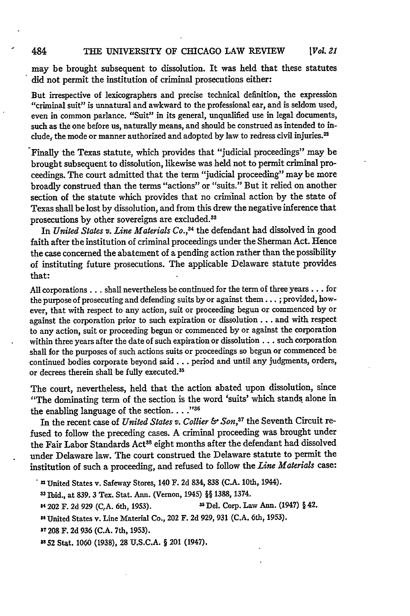#### 484 THE UNIVERSITY OF CHICAGO LAW REVIEW *[Vol. 21*

may be brought subsequent to dissolution. It was held that these statutes did not permit the institution of criminal prosecutions either:

But irrespective of lexicographers and precise technical definition, the expression "criminal suit" is unnatural and awkward to the professional ear, and is seldom used, even in common parlance. "Suit" in its general, unqualified use in legal documents, such as the one before us, naturally means, and should be construed as intended to include, the mode or manner authorized and adopted by law to redress civil injuries.<sup>32</sup>

Finally the Texas statute, which provides that "judicial proceedings" may be brought subsequent to dissolution, likewise was held not to permit criminal proceedings. The court admitted that the term "judicial proceeding" may be more broadly construed than the terms "actions" or "suits." But it relied on another section of the statute which provides that no criminal action by the state of Texas shall be lost by dissolution, and from this drew the negative inference that prosecutions by other sovereigns are excluded. <sup>33</sup>

In *United States v. Line Materials Co.,34* the defendant had dissolved in good faith after the institution of criminal proceedings under the Sherman Act. Hence the case concerned the abatement of a pending action rather than the possibility of instituting future prosecutions. The applicable Delaware statute provides that:

All corporations... shall nevertheless be continued for the term of three years... for the purpose of prosecuting and defending suits **by** or against them... **;** provided, however, that with respect to any action, suit or proceeding begun or commenced by or against the corporation prior to such expiration or dissolution **...** and with respect to any action, suit or proceeding begun or commenced by or against the corporation within three years after the date of such expiration or dissolution... such corporation shall for the purposes of such actions suits or proceedings so begun or commenced be continued bodies corporate beyond said... period and until any judgments, orders, or decrees therein shall be fully executed.<sup>35</sup>

The court, nevertheless, held that the action abated upon dissolution, since "The dominating term of the section is the word 'suits' which stands, alone in the enabling language of the section. . . .<sup>736</sup>

In the recent case of *United States v. Collier & Son,37* the Seventh Circuit refused to follow the preceding cases. A criminal proceeding was brought under the Fair Labor Standards Act<sup>38</sup> eight months after the defendant had dissolved under Delaware law. The court construed the Delaware statute to permit the institution of such a proceeding, and refused to follow the *Line Materials* case:

SIbid., at 839. 3 Tex. Stat. Ann. (Vernon, 1945) §§ **1388,** 1374.

4 202 F. **2d** 929 (C.A. 6th, 1953). **U** Del. Corp. Law **Ann.** (1947) § 42.

**"1** United States v. Line Material Co., 202 F. **2d** 929, 931 **(C.A.** 6th, **1953).**

**37 208** F. **2d** 936 (C.A. 7th, 1953).

**3852** Stat, 1060 (1938), 28 U.S.C.A. § 201 (1947).

**<sup>2</sup>** United States v. Safeway Stores, 140 F. **2d** 834, 838 **(C.A.** 10th, 1944).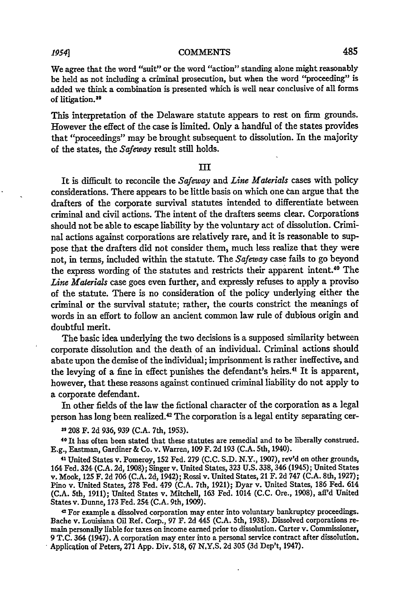### *195s41* **COMMENTS**

We agree that the word "suit" or the word "action" standing alone might reasonably be held as not including a criminal prosecution, but when the word "proceeding" is added we think a combination is presented which is well near conclusive of **all** forms of litigation.<sup>39</sup>

This interpretation of the Delaware statute appears to rest on firm grounds. However the effect of the case is limited. Only a handful of the states provides that "proceedings" may be brought subsequent to dissolution. In the majority of the states, the Safeway result still holds.

#### **III**

It is difficult to reconcile the Safeway and *Line Materials* cases with policy considerations. There appears to be little basis on which one **can** argue that the drafters of the corporate survival statutes intended to differentiate between criminal and civil actions. The intent of the drafters seems clear. Corporations should not be able to escape liability **by** the voluntary act of dissolution. Criminal actions against corporations are relatively rare, and it is reasonable to suppose that the drafters did not consider them, much less realize that they were not, in terms, included within the statute. The *Safeway* case fails to go beyond the express wording of the statutes and restricts their apparent intent.<sup>40</sup> The *Line Materials* case goes even further, and expressly refuses to apply a proviso of the statute. There is no consideration of the policy underlying either the criminal or the survival statute; rather, the courts constrict the meanings of words in an effort to follow an ancient common law rule of dubious origin and doubtful merit.

The basic idea underlying the two decisions is a supposed similarity between corporate dissolution and the death of an individual. Criminal actions should abate upon the demise of the individual; imprisonment is rather ineffective, and the levying of a fine in effect punishes the defendant's heirs.<sup>41</sup> It is apparent however, that these reasons against continued criminal liability do not apply to a corporate defendant.

In other fields of the law the fictional character of the corporation as a legal person has long been realized.<sup>42</sup> The corporation is a legal entity separating cer-

**39 208 F. 2d 936, 939 (C.A. 7th, 1953).** 4 11 11 12 12 12 12 12 12 12 13 13 14 14 15 16 16 16 16 16 16 16 16 16<br><sup>40</sup> It has often been stated that these statutes are remedial and to be liberally construed. **E.g.,** Eastman, Gardiner **&** Co. v. Warren, **109** F. **2d 193 (C.A.** 5th, 1940).

**41 United** States v. Pomeroy, 152 Fed. **279 (C.C. S.D.** N.Y., **1907),** rev'd on other grounds, 164 Fed. 324 **(C.A. 2d, 1908);** Singer v. United States, **323 U.S. 338,** 346 (1945); United States v. Mook, *125* F. **2d 706 (C.A. 2d,** 1942); Rossi v. United States, 21 F. **2d 747 (C.A.** 8th, **1927);** Pino v. United States, **278** Fed. 479 **(C.A.** 7th, **1921);** Dyar v. United States, **186** Fed. 614 **(C.A.** 5th, **1911);** United States v. Mitchell, **163** Fed. 1014 **(C.C.** Ore., **1908),** aff'd United States v. Dunne, **173** Fed. 254 **(C.A.** 9th, **1909).** <sup>42</sup>

For example a dissolved corporation may enter into voluntary bankruptcy proceedings. Bache v. Louisiana Oil Ref. Corp., **97** F. **2d** 445 **(C.A.** 5th, **1938).** Dissolved corporations remain personally liable for taxes on income earned prior to dissolution. Carter v. Commissioner, **9 T.C.** 364 (1947). **A** corporation may enter into a personal service contract after dissolution. Applicgtion of Peters, **271 App.** Div. **518, 67 N.Y.S. 2d 305 (3d** Dep't, 1947).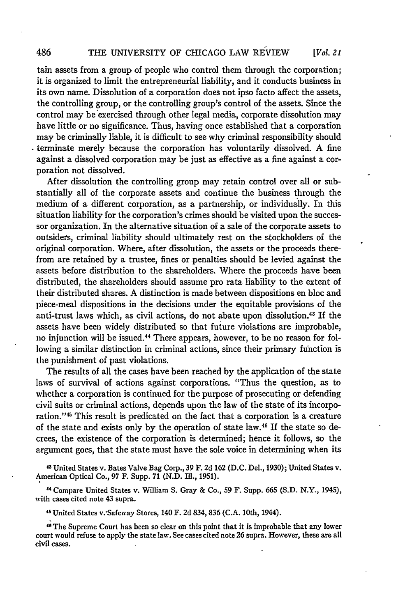#### THE UNIVERSITY OF CHICAGO LAW REVIEW *[Vol. 21*

tain assets from a group of people who control them through the corporation; it is organized to limit the entrepreneurial liability, and it conducts business in its own name. Dissolution of a corporation does not ipso facto affect the assets, the controlling group, or the controlling group's control of the assets. Since the control may be exercised through other legal media, corporate dissolution may have little or no significance. Thus, having once established that a corporation may be criminally liable, it is difficult to see why criminal responsibility should terminate merely because the corporation has voluntarily dissolved. A fine against a dissolved corporation may be just as effective as a fine against a corporation not dissolved.

After dissolution the controlling group may retain control over all or substantially all of the corporate assets and continue the business through the medium of a different corporation, as a partnership, or individually. In this situation liability for the corporation's crimes should be visited upon the successor organization. In the alternative situation of a sale of the corporate assets to outsiders, criminal liability should ultimately rest on the stockholders of the original corporation. Where, after dissolution, the assets or the proceeds therefrom are retained by a trustee, fines or penalties should be levied against the assets before distribution to the shareholders. Where the proceeds have been distributed, the shareholders should assume pro rata liability to the extent of their distributed shares. A distinction is made between dispositions en bloc and piece-meal dispositions in the decisions under the equitable provisions of the anti-trust laws which, as civil actions, do not abate upon dissolution.43 If the assets have been widely distributed so that future violations are improbable, no injunction will be issued.<sup>44</sup> There appears, however, to be no reason for following a similar distinction in criminal actions, since their primary function is the punishment of past violations.

The results of all the cases have been reached by the application of the state laws of survival of actions against corporations. "Thus the question, as to whether a corporation is continued for the purpose of prosecuting or defending civil suits or criminal actions, depends upon the law of the state of its incorporation."<sup>45</sup> This result is predicated on the fact that a corporation is a creature of the state and exists only by the operation of state law.16 If the state so decrees, the existence of the corporation is determined; hence it follows, so the argument goes, that the state must have the sole voice in determining when its

**<sup>3</sup>**United States v. Bates Valve Bag Corp., 39 F. 2d 162 (D.C. Del., 1930); United States v. American Optical Co., 97 F. Supp. 71 (N.D. **Ill.,** 1951).

44 Compare United States v. William S. Gray & Co., 59 F. Supp. 665 (S.D. N.Y., 1945), with cases cited note 43 supra.

46 United States v.'Safeway Stores, 140 F. 2d 834, 836 (C.A. 10th, 1944).

46The Supreme Court has been so clear on this point that it is improbable that any lower court would refuse to apply the state law. See cases cited note 26 supra. However, these are all civil cases.

486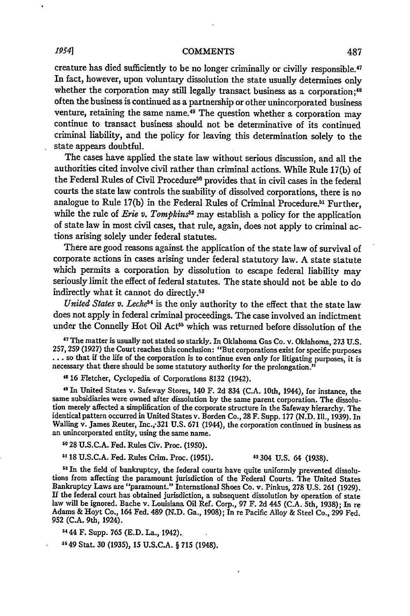# *19541* **COMMENTS**

creature has died sufficiently to be no longer criminally or civilly responsible.<sup>47</sup> In fact, however, upon voluntary dissolution the state usually determines only whether the corporation may still legally transact business as a corporation;<sup>48</sup> often the business is continued as a partnership or other unincorporated business venture, retaining the same name.<sup>49</sup> The question whether a corporation may continue to transact business should not be determinative of its continued criminal liability, and the policy for leaving this determination solely to the state appears doubtful.

The cases have applied the state law without serious discussion, and all the authorities cited involve civil rather than criminal actions. While Rule 17(b) of the Federal Rules of Civil Procedure<sup>50</sup> provides that in civil cases in the federal courts the state law controls the suability of dissolved corporations, there is no analogue to Rule 17(b) in the Federal Rules of Criminal Procedure.<sup>51</sup> Further, while the rule of *Erie v. Tompkins*<sup>52</sup> may establish a policy for the application of state law in most civil cases, that rule, again, does not apply to criminal actions arising solely under federal statutes.

There are good reasons against the application of the state law of survival of corporate actions in cases arising under federal statutory law. A state statute which permits a corporation by dissolution to escape federal liability may seriously limit the effect of federal statutes. The state should not be able to do indirectly what it cannot do directly.<sup>53</sup>

United States v. Leche<sup>54</sup> is the only authority to the effect that the state law does not apply in federal criminal proceedings. The case involved an indictment under the Connelly Hot Oil Act<sup>55</sup> which was returned before dissolution of the

47 The matter is usually not stated so starkly. In Oklahoma Gas Co. v. Oklahoma, 273 U.S. 257, 259 (1927) the Court reaches this conclusion: "But corporations exist for specific purposes  $\dots$  so that if the life of the corporation is to continue even only for litigating purposes, it is necessary that there should be some statutory authority for the prolongation."

**<sup>48</sup>**16 Fletcher, Cyclopedia of Corporations 8132 (1942).

49 In United States v. Safeway Stores, 140 F. 2d 834 (C.A. 10th, 1944), for instance, the same subsidiaries were owned after dissolution by the same parent corporation. The dissolution merely affected a simplification of the corporate structure in the Safeway hierarchy. The identical pattern occurred in United States v. Borden Co., 28 F. Supp. 177 (N.D. Ill., 1939). In Walling v. James Reuter, Inc., 321 U.S. 671 (1944), the corporation continued in business as an unincorporated entity, using the same name.

**<sup>50</sup>**28 U.S.C.A. Fed. Rules Civ. Proc. (1950).

**5118** U.S.C.A. Fed. Rules Crim. Proc. (1951). 52304 U.S. 64 (1938).

**53** In the field of bankruptcy, the federal courts have quite uniformly prevented dissolutions from affecting the paramount jurisdiction of the Federal Courts. The United States Bankruptcy Laws are "paramount." International Shoes Co. v. Pinkus, 278 U.S. 261 (1929). If the federal court has obtained jurisdiction, a subsequent dissolution by operation of state law will be ignored. Bache v. Louisiana Oil Ref. Corp., 97 F. 2d 445 (C.A. 5th, 1938); In re Adams & Hoyt Co., 164 Fed. 489 (N.D. Ga., 1908); In re Pacific Alloy & Steel Co., **299** Fed. 952 (C.A. 9th, 1924).

S4 44 F. Supp. 765 (E.D. La., 1942)..

**5549** Stat. 30 (1935), **15 U.S.C.A.** § **715** (1948).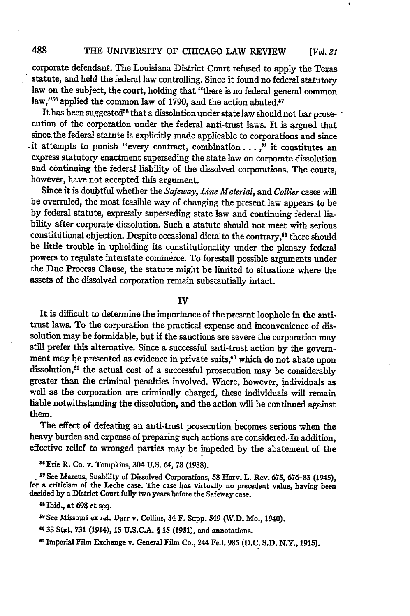corporate defendant. The Louisiana District Court refused to apply the Texas statute, and held the federal law controlling. Since it found no federal statutory law on the subject, the court, holding that "there is no federal general common law,"<sup>56</sup> applied the common law of 1790, and the action abated.<sup>57</sup>

It has been suggested<sup>58</sup> that a dissolution under state law should not bar prosecution of the corporation under the federal anti-trust laws. It is argued that since the federal statute is explicitly made applicable to corporations and since .it attempts to punish "every contract, combination... ," it constitutes an express statutory enactment superseding the state law on corporate dissolution and continuing the federal liability of the dissolved corporations. The courts, however, have not accepted this argument.

Since it is doubtful whether the *Safeway, Line Material,* and *Collier* cases will be overruled, the most feasible way of changing the present law appears to be by federal statute, expressly superseding state law and continuing federal liability after 'corporate dissolution. Such a statute should not meet with serious constitutional objection. Despite occasional dicta' to the contrary,<sup>59</sup> there should be little trouble in upholding its constitutionality under the plenary federal powers to regulate interstate commerce. To forestall possible arguments under the Due Process Clause, the statute might be limited to situations where the assets of the dissolved corporation remain substantially intact.

IV

It is difficult to determine the importance of the present loophole in the antitrust laws. To the corporation the practical expense and inconvenience of dissolution may be formidable, but if the sanctions are severe the corporation may still prefer this alternative. Since a successful anti-trust action by the government may be presented as evidence in private suits,<sup>60</sup> which do not abate upon dissolution,<sup>61</sup> the actual cost of a successful prosecution may be considerably greater than the criminal penalties involved. Where, however, individuals as well as the corporation are criminally charged, these individuals will remain liable notwithstanding the dissolution, and the action will be continued against them.

The effect of defeating an anti-trust prosecution becomes serious when the heavy burden and expense of preparing such actions are considered..In addition, effective relief to wronged parties may be impeded by the abatement of the

<sup>56</sup> Erie R. Co. v. Tompkins, 304 U.S. 64, 78 (1938).

**•** See Marcus, Suability of Dissolved Corporations, **58** Harv. L. Rev. **675, 676-83** (1945), for a criticism of the Leche case. The case has virtually no precedent value, having been decided **by** a District Court fully two years before the Safeway case.

**"Ibid.,** at **698 et** seq.

**"9** See Missouri ex rel. **Darr** v. Collins, 34 F. Supp. 549 (W.D. Mo., 1940).

**40 38** Stat. **731** (1914), **15 U.S.C.A. § 15 (1951),** and annotations.

**6l** Imperial Film Exchange v. General Film Co., 244 Fed. **985 (D.C. S.D.** N.Y., **1915).**

488